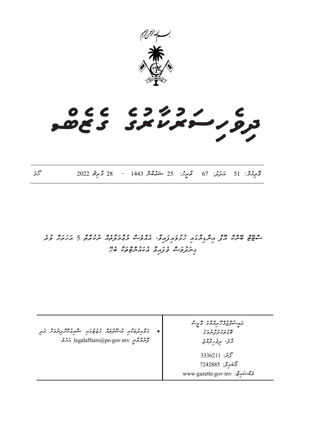

# 

*ވޮލިއުމ:ް 51 އަދަދ:ު 67 ތާރީޚ:ު 25 ޝަޢުބާން 1443 – 28 މާރިޗު 2022 ހޯމަ*

*ސްޓޭޓް ބޭންކް އޮފް އިންޑިޔާގައި ހުޅުވައިފައިވ،ާ އެއްވެސް މުޢާމަލާތެއް ނުކުރާތާ 5 އަހަރަށް ވުރެ ގިނަދުވަސް ވެފައިވާ އެކައުންޓްތަކާ ބެހޭ* 

• *ގަވާއިދުތަކާއި އުސޫލުތައް ގެޒެޓުގައި ޝާއިޢުކޮށްދިނުމަށް އެދި ފޮނުއްވާނީ mv.gov.po@legalaffairs އަށެވ.ެ ރައީސުލްޖުމްހޫރިއްޔާގެ އޮފީސް ބޮޑުތަކުރުފާނުމަގު މާލ،ެ ދިވެހިރާއްޖެ*  محمد بن: 3336211 *މޯބައިލ:ް 7242885 ވެބްސައިޓ:ް mv.gov.gazette.www*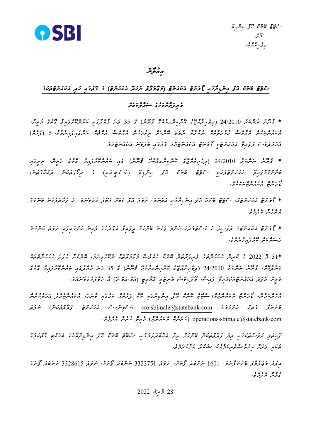

## ر د و ه<br>مهرم

## *ސްޓޭޓް ބޭންކް އޮފް އިންޑިޔާ ގައި ޑޯމަންޓް އެކައުންޓް (މުޢާމަލާތް ނުކުރާ އެކައުންޓް) ގެ ގޮތުގައި ހުރި އެކައުންޓްތަކުގެ*

### *ވެރިފަރާތްތަކު ގެ ސަމާލުކަމަށް*

*\* ޤާނޫނު ނަންބަރު 24/2010 (ދިވެހިރާއްޖޭގެ ބޭންކިންގއާބެހޭ ޤާނޫނު) ގެ 35 ވަނަ މާއްދާގައި ބަޔާންކޮށްފައިވާ ގޮތުގެ މަތީނ،ް އެކައުންޓަކުން އެއްވެސް މުޢާމަލާތެއް ނުކުރާތާ ނުވަތަ ބޭންކަށް ލިޔުމަކުން އެއްވެސް އެއްޗެއް އަންގައިފައިނުވާތ*،*ާ 5 (ފަހެއް) އަހަރުދުވަސް ވެފައިވާ އެކައުންޓަކީ ޑޯމަންޓް އެކައުންޓެއްގެ ގޮތުގައި ބެލެވޭނެ އެކައުންޓެކެވ.ެ* 

*\* ޤާނޫނު ނަންބަރު 24/2010 (ދިވެހިރާއްޖޭގެ ބޭންކިންގއާބެހޭ ޤާނޫނު) ގައި ބަޔާންކޮށްފައިވާ ގޮތުގެ މަތީނ،ް ތިރީގައި ބަޔާންކޮށްފައިވާ އެކައުންޓްތަކަކީ ސްޓޭޓް ބޭންކް އޮފް އިންޑިޔާ (އެސ.ްބ.ީއައި) ގެ ރިކޯ ޑުތަކުން ދައްކާގޮތުނ*،*ް ޑޯމަންޓް އެކައުންޓްތަކެކެވ.ެ*

*\* ޑޯމަންޓް އެކައުންޓެއ،ް ސްޓޭޓް ބޭންކް އޮފް އިންޑިޔާގައި އޮތްނަމ*،*ަ ނުވަތަ އޮތް ކަމަށް ގަބޫލު ކުރެވޭނަމ،ަ އެ ފަރާތްތަކުން ބޭންކަށް އެންގުން އެދެމެވ.ެ*

*\* ޑޯމަންޓް އެކައުންޓުގެ ތަފުސީލު އެ ކަސްޓަމަރަކު އެންމެ ފަހުން ބޭންކަށް ދީފައިވާ އެޑްރެހަށް ވަކިން އަންގައިފައި ނުވަތަ އަންގަން މަސައްކަތް ކޮށްފައިވާނެއެވ.ެ*

*\*31 މޭ 2022 ގެ ކުރިން އެކައުންޓުގެ ވެރިފަރާތުން ބޭންކާ އެއްވެސް މުޢާމަލާތެއް ނުކޮށްފިނަމ*،*ަ ބޭންކުން އެފަދަ އެކައުންޓްތައް ބަންދުކޮށ،ް ޤާނޫނު ނަންބަރު 24/2010 (ދިވެހިރާއްޖޭގެ ބޭންކިންގއާބެހޭ ޤާނޫނު) ގެ 35 ވަނަ މާއްދާގައި ބަޔާންކޮށްފައިވާ ގޮތުގެ މަތީން އެފަދަ އެކައުންޓްތަކުގައިވާ ފައިސ،ާ މޯލްޑިވްސް މަނިޓަރީ އޮތޯރިޓީ (އެމ.ްއެމ.ްއޭ) އާ ހަވާލުކުރެވޭނެއެވ.ެ*

*އެހެންކަމުނ،ް ޑޯމަންޓް އެކައުންޓެއ*،*ް ސްޓޭޓް ބޭންކް އޮފް އިންޑިޔާގައި އޮތް ފަރާތެއް ކަމުގައި ވާނަމ،ަ އެކައުންޓާމެދު ޢަމަލުކުރާން ބޭނުންވާ ގޮތެއް އެންގުމަށް com.statebank@sbimale.cro) ސޭވިންގސް އެކައުންޓް ފަރާތްތަކުން ) ނުވަތަ [com.statebank@sbimale.operations](mailto:operations.sbimale@statebank.com)) ކަރަންޓް އެކައުންޓް) މެއިލް ކުރުން އެދެމެވ.ެ* 

*ފާއިތުވި ދުވަސްތަކުގައި ތިޔަ ފަރާތްތަކުން ބޭންކަށް ދިން އެއްބާރުލުމަށާއ*،*ި ސްޓޭޓް ބޭންކް އޮފް އިންޑިޔާއާއެކު ބެހެއްޓި ގާތްކަމަށް ޓަކައި ވަރަށް އިޚުލާޞްތެރިކަމާއެކު ޝުކުރު އަދާކުރަމެވ.ެ*

*އިތުރު މަޢުލޫމާތު ބޭނުންވާނަމ،ަ 1601 ނަންބަރު ފޯނަށ،ް ނުވަތަ 3323751 ނަންބަރު ފޯނަށ،ް ނުވަތަ 3328615 ނަންބަރު ފޯނަށް ގުޅުން އެދެމެވ.ެ*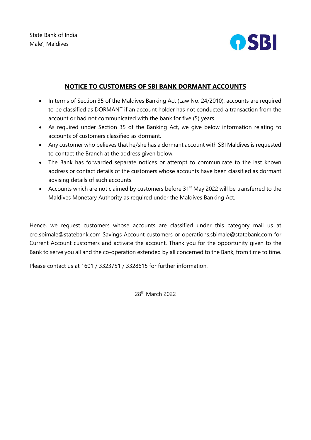

# **NOTICE TO CUSTOMERS OF SBI BANK DORMANT ACCOUNTS**

- In terms of Section 35 of the Maldives Banking Act (Law No. 24/2010), accounts are required to be classified as DORMANT if an account holder has not conducted a transaction from the account or had not communicated with the bank for five (5) years.
- As required under Section 35 of the Banking Act, we give below information relating to accounts of customers classified as dormant.
- Any customer who believes that he/she has a dormant account with SBI Maldives is requested to contact the Branch at the address given below.
- The Bank has forwarded separate notices or attempt to communicate to the last known address or contact details of the customers whose accounts have been classified as dormant advising details of such accounts.
- Accounts which are not claimed by customers before 31<sup>st</sup> May 2022 will be transferred to the Maldives Monetary Authority as required under the Maldives Banking Act.

Hence, we request customers whose accounts are classified under this category mail us at cro.sbimale@statebank.com Savings Account customers or operations.sbimale@statebank.com for Current Account customers and activate the account. Thank you for the opportunity given to the Bank to serve you all and the co-operation extended by all concerned to the Bank, from time to time.

Please contact us at 1601 / 3323751 / 3328615 for further information.

28th March 2022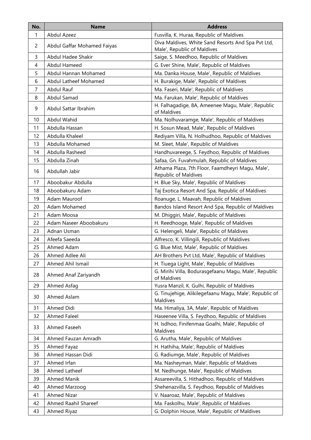| No.            | <b>Name</b>                 | <b>Address</b>                                                       |
|----------------|-----------------------------|----------------------------------------------------------------------|
| 1              | Abdul Azeez                 | Fusvilla, K. Huraa, Republic of Maldives                             |
| 2              | Abdul Gaffar Mohamed Faiyas | Diva Maldives, White Sand Resorts And Spa Pvt Ltd,                   |
|                |                             | Male', Republic of Maldives                                          |
| 3              | Abdul Hadee Shakir          | Saige, S. Meedhoo, Republic of Maldives                              |
| 4              | <b>Abdul Hameed</b>         | G. Ever Shine, Male', Republic of Maldives                           |
| 5              | Abdul Hannan Mohamed        | Ma. Danka House, Male', Republic of Maldives                         |
| 6              | Abdul Latheef Mohamed       | H. Burakige, Male', Republic of Maldives                             |
| $\overline{7}$ | Abdul Rauf                  | Ma. Faseri, Male', Republic of Maldives                              |
| 8              | Abdul Samad                 | Ma. Farukan, Male', Republic of Maldives                             |
| 9              | Abdul Sattar Ibrahim        | H. Falhagadige, 8A, Ameenee Magu, Male', Republic<br>of Maldives     |
| 10             | Abdul Wahid                 | Ma. Nolhuvaramge, Male', Republic of Maldives                        |
| 11             | Abdulla Hassan              | H. Sosun Mead, Male', Republic of Maldives                           |
| 12             | Abdulla Khaleel             | Rediyam Villa, N. Holhudhoo, Republic of Maldives                    |
| 13             | Abdulla Mohamed             | M. Sleet, Male', Republic of Maldives                                |
| 14             | Abdulla Rasheed             | Handhuvareege, S. Feydhoo, Republic of Maldives                      |
| 15             | Abdulla Zinah               | Safaa, Gn. Fuvahmulah, Republic of Maldives                          |
| 16             | Abdullah Jabir              | Athama Plaza, 7th Floor, Faamdheyri Magu, Male',                     |
|                |                             | Republic of Maldives                                                 |
| 17             | Aboobakur Abdulla           | H. Blue Sky, Male', Republic of Maldives                             |
| 18             | Aboobakuru Adam             | Taj Exotica Resort And Spa, Republic of Maldives                     |
| 19             | Adam Mauroof                | Roanuge, L. Maavah, Republic of Maldives                             |
| 20             | Adam Mohamed                | Bandos Island Resort And Spa, Republic of Maldives                   |
| 21             | Adam Moosa                  | M. Dhiggiri, Male', Republic of Maldives                             |
| 22             | Adam Naseer Aboobakuru      | H. Reedhooge, Male', Republic of Maldives                            |
| 23             | Adnan Usman                 | G. Helengeli, Male', Republic of Maldives                            |
| 24             | Afeefa Saeeda               | Alfresco, K. Villingili, Republic of Maldives                        |
| 25             | Ahmed Adam                  | G. Blue Mist, Male', Republic of Maldives                            |
| 26             | Ahmed Adlee Ali             | AH Brothers Pvt Ltd, Male', Republic of Maldives                     |
| 27             | Ahmed Ahil Ismail           | H. Tiuega Light, Male', Republic of Maldives                         |
| 28             | Ahmed Anaf Zariyandh        | G. Mirihi Villa, Bodurasgefaanu Magu, Male', Republic<br>of Maldives |
| 29             | Ahmed Asfaq                 | Yusra Manzil, K. Gulhi, Republic of Maldives                         |
| 30             | Ahmed Aslam                 | G. Tinujehige, Alikilegefaanu Magu, Male', Republic of<br>Maldives   |
| 31             | Ahmed Didi                  | Ma. Himaliya, 3A, Male', Republic of Maldives                        |
| 32             | <b>Ahmed Faleel</b>         | Haseenee Villa, S. Feydhoo, Republic of Maldives                     |
| 33             | Ahmed Faseeh                | H. Isdhoo, Finifenmaa Goalhi, Male', Republic of<br>Maldives         |
| 34             | Ahmed Fauzan Amradh         | G. Arutha, Male', Republic of Maldives                               |
| 35             | Ahmed Fayaz                 | H. Hathiha, Male', Republic of Maldives                              |
| 36             | Ahmed Hassan Didi           | G. Radiumge, Male', Republic of Maldives                             |
| 37             | Ahmed Irfan                 | Ma. Nasheyman, Male', Republic of Maldives                           |
| 38             | Ahmed Latheef               | M. Nedhunge, Male', Republic of Maldives                             |
| 39             | <b>Ahmed Manik</b>          | Assareevilla, S. Hithadhoo, Republic of Maldives                     |
| 40             | Ahmed Marzoog               | Shehenazvilla, S. Feydhoo, Republic of Maldives                      |
| 41             | <b>Ahmed Nizar</b>          | V. Naaroaz, Male', Republic of Maldives                              |
| 42             | Ahmed Raahil Shareef        | Ma. Faskolhu, Male', Republic of Maldives                            |
| 43             | Ahmed Riyaz                 | G. Dolphin House, Male', Republic of Maldives                        |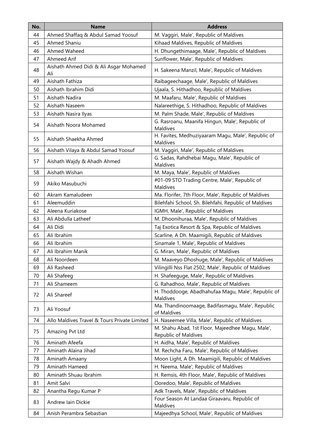| No. | <b>Name</b>                                   | <b>Address</b>                                                           |
|-----|-----------------------------------------------|--------------------------------------------------------------------------|
| 44  | Ahmed Shaffaq & Abdul Samad Yoosuf            | M. Vaggiri, Male', Republic of Maldives                                  |
| 45  | Ahmed Shaniu                                  | Kihaad Maldives, Republic of Maldives                                    |
| 46  | Ahmed Waheed                                  | H. Dhungethimaage, Male', Republic of Maldives                           |
| 47  | Ahmeed Arif                                   | Sunflower, Male', Republic of Maldives                                   |
| 48  | Aishath Ahmed Didi & Ali Asgar Mohamed<br>Ali | H. Sakeena Manzil, Male', Republic of Maldives                           |
| 49  | Aishath Fathiza                               | Raibageechaage, Male', Republic of Maldives                              |
| 50  | Aishath Ibrahim Didi                          | Ujaala, S. Hithadhoo, Republic of Maldives                               |
| 51  | Aishath Nadira                                | M. Maafaru, Male', Republic of Maldives                                  |
| 52  | Aishath Naseem                                | Nalareethige, S. Hithadhoo, Republic of Maldives                         |
| 53  | Aishath Nasira Ilyas                          | M. Palm Shade, Male', Republic of Maldives                               |
| 54  | Aishath Noora Mohamed                         | G. Rasroanu, Maanifa Hingun, Male', Republic of<br><b>Maldives</b>       |
| 55  | Aishath Shaekha Ahmed                         | H. Favites, Medhuziyaaram Magu, Male', Republic of<br>Maldives           |
| 56  | Aishath Vilaya & Abdul Samad Yoosuf           | M. Vaggiri, Male', Republic of Maldives                                  |
| 57  | Aishath Wajdy & Ahadh Ahmed                   | G. Sadas, Rahdhebai Magu, Male', Republic of<br>Maldives                 |
| 58  | Aishath Wishan                                | M. Maya, Male', Republic of Maldives                                     |
| 59  | Akiko Masubuchi                               | #01-09 STO Trading Centre, Male', Republic of<br>Maldives                |
| 60  | Akram Kamaludeen                              | Ma. Florifer, 7th Floor, Male', Republic of Maldives                     |
| 61  | Aleemuddin                                    | Bilehfahi School, Sh. Bilehfahi, Republic of Maldives                    |
| 62  | Aleena Kuriakose                              | IGMH, Male', Republic of Maldives                                        |
| 63  | Ali Abdulla Latheef                           | M. Dhoonihuraa, Male', Republic of Maldives                              |
| 64  | Ali Didi                                      | Taj Exotica Resort & Spa, Republic of Maldives                           |
| 65  | Ali Ibrahim                                   | Scarline, A Dh. Maamigili, Republic of Maldives                          |
| 66  | Ali Ibrahim                                   | Sinamale 1, Male', Republic of Maldives                                  |
| 67  | Ali Ibrahim Manik                             | G. Miran, Male', Republic of Maldives                                    |
| 68  | Ali Noordeen                                  | M. Maaveyo Dhoshuge, Male', Republic of Maldives                         |
| 69  | Ali Rasheed                                   | Vilingilli Nss Flat 2502, Male', Republic of Maldives                    |
| 70  | Ali Shafeeg                                   | H. Shafeeguge, Male', Republic of Maldives                               |
| 71  | Ali Shameem                                   | G. Rahadhoo, Male', Republic of Maldives                                 |
| 72  | Ali Shareef                                   | H. Thoddooge, Abadhahufaa Magu, Male', Republic of<br>Maldives           |
| 73  | Ali Yoosuf                                    | Ma. Thandinoomaage, Badifasmagu, Male', Republic<br>of Maldives          |
| 74  | Allo Maldives Travel & Tours Private Limited  | H. Naseemee Villa, Male', Republic of Maldives                           |
| 75  | Amazing Pvt Ltd                               | M. Shahu Abad, 1st Floor, Majeedhee Magu, Male',<br>Republic of Maldives |
| 76  | Aminath Afeefa                                | H. Aidha, Male', Republic of Maldives                                    |
| 77  | Aminath Alaina Jihad                          | M. Rechcha Faru, Male', Republic of Maldives                             |
| 78  | Aminath Amaany                                | Moon Light, A Dh. Maamigili, Republic of Maldives                        |
| 79  | Aminath Hameed                                | H. Neema, Male', Republic of Maldives                                    |
| 80  | Aminath Shuau Ibrahim                         | H. Remsis, 4th Floor, Male', Republic of Maldives                        |
| 81  | Amit Salvi                                    | Ooredoo, Male', Republic of Maldives                                     |
| 82  | Anantha Regu Kumar P                          | Adk Travels, Male', Republic of Maldives                                 |
| 83  | Andrew Iain Dickie                            | Four Season At Landaa Giraavaru, Republic of<br>Maldives                 |
| 84  | Anish Perambra Sebastian                      | Majeedhya School, Male', Republic of Maldives                            |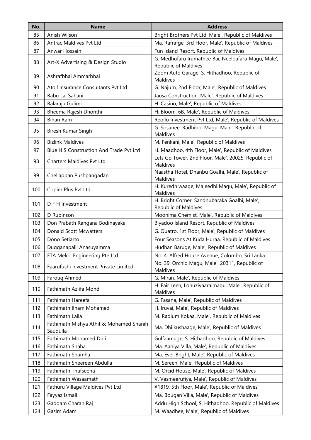| No. | <b>Name</b>                                         | <b>Address</b>                                                              |
|-----|-----------------------------------------------------|-----------------------------------------------------------------------------|
| 85  | Anish Wilson                                        | Bright Brothers Pvt Ltd, Male', Republic of Maldives                        |
| 86  | Antrac Maldives Pvt Ltd                             | Ma. Rafrafge, 3rd Floor, Male', Republic of Maldives                        |
| 87  | Anwar Hossain                                       | Fun Island Resort, Republic of Maldives                                     |
| 88  | Art-X Advertising & Design Studio                   | G. Medhufaru Irumathee Bai, Neeloafaru Magu, Male',<br>Republic of Maldives |
| 89  | Ashrafbhai Ammarbhai                                | Zoom Auto Garage, S. Hithadhoo, Republic of<br>Maldives                     |
| 90  | Atoll Insurance Consultants Pvt Ltd                 | G. Najum, 2nd Floor, Male', Republic of Maldives                            |
| 91  | Babu Lal Sahani                                     | Jausa Construction, Male', Republic of Maldives                             |
| 92  | Balaraju Gulimi                                     | H. Casino, Male', Republic of Maldives                                      |
| 93  | Bheema Rajesh Dhonthi                               | H. Bloom, 6B, Male', Republic of Maldives                                   |
| 94  | Bihari Ram                                          | Reollo Investment Pvt Ltd, Male', Republic of Maldives                      |
| 95  | Biresh Kumar Singh                                  | G. Sosanee, Radhibbi Magu, Male', Republic of<br>Maldives                   |
| 96  | <b>Bizlink Maldives</b>                             | M. Fenkani, Male', Republic of Maldives                                     |
| 97  | Blue H S Construction And Trade Pvt Ltd             | H. Maadhoo, 4th Floor, Male', Republic of Maldives                          |
| 98  | Charters Maldives Pvt Ltd                           | Lets Go Tower, 2nd Floor, Male', 20025, Republic of<br>Maldives             |
| 99  | Chellappan Pushpangadan                             | Naastha Hotel, Dhanbu Goalhi, Male', Republic of<br>Maldives                |
| 100 | Copier Plus Pvt Ltd                                 | H. Kuredhiwaage, Majeedhi Magu, Male', Republic of<br>Maldives              |
| 101 | D F H Investment                                    | H. Bright Corner, Sandhubaraka Goalhi, Male',<br>Republic of Maldives       |
| 102 | D Rubinson                                          | Moonima Chemist, Male', Republic of Maldives                                |
| 103 | Don Prabath Rangana Bodinayaka                      | Biyadoo Island Resort, Republic of Maldives                                 |
| 104 | <b>Donald Scott Mcwatters</b>                       | G. Quatro, 1st Floor, Male', Republic of Maldives                           |
| 105 | Dono Setiarto                                       | Four Seasons At Kuda Huraa, Republic of Maldives                            |
| 106 | Dugganapalli Anasuyamma                             | Hudhan Baruge, Male', Republic of Maldives                                  |
| 107 | ETA Melco Engineering Pte Ltd                       | No. 4, Alfred House Avenue, Colombo, Sri Lanka                              |
| 108 | Faarufushi Investment Private Limited               | No. 39, Orchid Magu, Male', 20311, Republic of<br>Maldives                  |
| 109 | Faroug Ahmed                                        | G. Miran, Male', Republic of Maldives                                       |
| 110 | Fathimath Azlifa Mohd                               | H. Fair Leen, Lonuziyaaraimagu, Male', Republic of<br>Maldives              |
| 111 | Fathimath Hareefa                                   | G. Fasana, Male', Republic of Maldives                                      |
| 112 | Fathimath Ilham Mohamed                             | H. Iruvai, Male', Republic of Maldives                                      |
| 113 | Fathimath Laila                                     | M. Radium Kokaa, Male', Republic of Maldives                                |
| 114 | Fathimath Mishya Athif & Mohamed Shanih<br>Saudulla | Ma. Dhilkushaage, Male', Republic of Maldives                               |
| 115 | Fathimath Mohamed Didi                              | Gulfaamuge, S. Hithadhoo, Republic of Maldives                              |
| 116 | Fathimath Shaha                                     | Ma. Aahiya Villa, Male', Republic of Maldives                               |
| 117 | Fathimath Shamha                                    | Ma. Ever Bright, Male', Republic of Maldives                                |
| 118 | Fathimath Sheereen Abdulla                          | M. Sereen, Male', Republic of Maldives                                      |
| 119 | Fathimath Thafseena                                 | M. Orcid House, Male', Republic of Maldives                                 |
| 120 | Fathimath Wasaamath                                 | V. Vasmeerufiya, Male', Republic of Maldives                                |
| 121 | Fathuru Village Maldives Pvt Ltd                    | #1819, 5th Floor, Male', Republic of Maldives                               |
| 122 | Fayyaz Ismail                                       | Ma. Bougan Villa, Male', Republic of Maldives                               |
| 123 | Gaddam Charan Raj                                   | Addu High School, S. Hithadhoo, Republic of Maldives                        |
| 124 | Gasim Adam                                          | M. Waadhee, Male', Republic of Maldives                                     |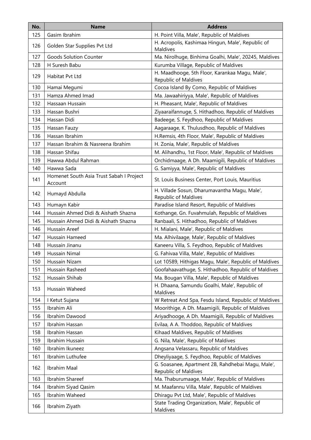| No. | <b>Name</b>                                         | <b>Address</b>                                                            |
|-----|-----------------------------------------------------|---------------------------------------------------------------------------|
| 125 | Gasim Ibrahim                                       | H. Point Villa, Male', Republic of Maldives                               |
| 126 | Golden Star Supplies Pvt Ltd                        | H. Acropolis, Kashimaa Hingun, Male', Republic of<br>Maldives             |
| 127 | <b>Goods Solution Counter</b>                       | Ma. Nirolhuge, Binhima Goalhi, Male', 20245, Maldives                     |
| 128 | H Suresh Babu                                       | Kurumba Village, Republic of Maldives                                     |
| 129 | Habitat Pvt Ltd                                     | H. Maadhooge, 5th Floor, Karankaa Magu, Male',<br>Republic of Maldives    |
| 130 | Hamai Megumi                                        | Cocoa Island By Como, Republic of Maldives                                |
| 131 | Hamza Ahmed Imad                                    | Ma. Jawaahiriyya, Male', Republic of Maldives                             |
| 132 | Hassaan Hussain                                     | H. Pheasant, Male', Republic of Maldives                                  |
| 133 | Hassan Bushri                                       | Ziyaaraifannuge, S. Hithadhoo, Republic of Maldives                       |
| 134 | Hassan Didi                                         | Badeege, S. Feydhoo, Republic of Maldives                                 |
| 135 | Hassan Fauzy                                        | Aagaraage, K. Thulusdhoo, Republic of Maldives                            |
| 136 | Hassan Ibrahim                                      | H.Remsis, 4th Floor, Male', Republic of Maldives                          |
| 137 | Hassan Ibrahim & Nasreena Ibrahim                   | H. Zonia, Male', Republic of Maldives                                     |
| 138 | Hassan Shifau                                       | M. Alihandhu, 1st Floor, Male', Republic of Maldives                      |
| 139 | Hawwa Abdul Rahman                                  | Orchidmaage, A Dh. Maamigili, Republic of Maldives                        |
| 140 | Hawwa Sada                                          | G. Samiyya, Male', Republic of Maldives                                   |
| 141 | Homenet South Asia Trust Sabah I Project<br>Account | St. Louis Business Center, Port Louis, Mauritius                          |
| 142 | Humayd Abdulla                                      | H. Villade Sosun, Dharumavantha Magu, Male',<br>Republic of Maldives      |
| 143 | Humayn Kabir                                        | Paradise Island Resort, Republic of Maldives                              |
| 144 | Hussain Ahmed Didi & Aishath Shazna                 | Kothange, Gn. Fuvahmulah, Republic of Maldives                            |
| 145 | Hussain Ahmed Didi & Aishath Shazna                 | Ranbaali, S. Hithadhoo, Republic of Maldives                              |
| 146 | Hussain Areef                                       | H. Mialani, Male', Republic of Maldives                                   |
| 147 | Hussain Hameed                                      | Ma. Alhivilaage, Male', Republic of Maldives                              |
| 148 | Hussain Jinanu                                      | Kaneeru Villa, S. Feydhoo, Republic of Maldives                           |
| 149 | Hussain Nimal                                       | G. Fahivaa Villa, Male', Republic of Maldives                             |
| 150 | Hussain Nizam                                       | Lot 10589, Hithigas Magu, Male', Republic of Maldives                     |
| 151 | Hussain Rasheed                                     | Goofahaavathuge, S. Hithadhoo, Republic of Maldives                       |
| 152 | Hussain Shihab                                      | Ma. Bougan Villa, Male', Republic of Maldives                             |
| 153 | Hussain Waheed                                      | H. Dhaana, Samundu Goalhi, Male', Republic of<br>Maldives                 |
| 154 | I Ketut Sujana                                      | W Retreat And Spa, Fesdu Island, Republic of Maldives                     |
| 155 | Ibrahim Ali                                         | Moorithige, A Dh. Maamigili, Republic of Maldives                         |
| 156 | Ibrahim Dawood                                      | Ariyadhooge, A Dh. Maamigili, Republic of Maldives                        |
| 157 | Ibrahim Hassan                                      | Evilaa, A A. Thoddoo, Republic of Maldives                                |
| 158 | Ibrahim Hassan                                      | Kihaad Maldives, Republic of Maldives                                     |
| 159 | Ibrahim Hussain                                     | G. Nila, Male', Republic of Maldives                                      |
| 160 | Ibrahim Ikuneez                                     | Angsana Velassaru, Republic of Maldives                                   |
| 161 | Ibrahim Luthufee                                    | Dheyliyaage, S. Feydhoo, Republic of Maldives                             |
| 162 | Ibrahim Maal                                        | G. Soasanee, Apartment 2B, Rahdhebai Magu, Male',<br>Republic of Maldives |
| 163 | Ibrahim Shareef                                     | Ma. Thaburumaage, Male', Republic of Maldives                             |
| 164 | Ibrahim Siyad Qasim                                 | M. Maafannu Villa, Male', Republic of Maldives                            |
| 165 | Ibrahim Waheed                                      | Dhiragu Pvt Ltd, Male', Republic of Maldives                              |
| 166 | Ibrahim Ziyath                                      | State Trading Organization, Male', Republic of<br>Maldives                |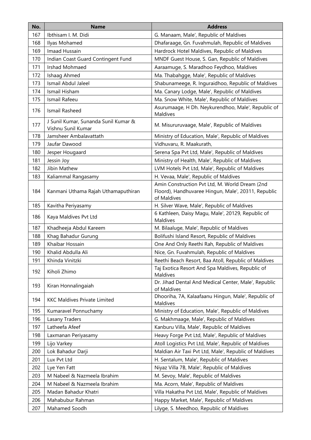| No. | <b>Name</b>                                                | <b>Address</b>                                                      |
|-----|------------------------------------------------------------|---------------------------------------------------------------------|
| 167 | Ibthisam I. M. Didi                                        | G. Manaam, Male', Republic of Maldives                              |
| 168 | Ilyas Mohamed                                              | Dhafaraage, Gn. Fuvahmulah, Republic of Maldives                    |
| 169 | Imaad Hussain                                              | Hardrock Hotel Maldives, Republic of Maldives                       |
| 170 | Indian Coast Guard Contingent Fund                         | MNDF Guest House, S. Gan, Republic of Maldives                      |
| 171 | <b>Irshad Mohmaed</b>                                      | Aaraamuge, S. Maradhoo Feydhoo, Maldives                            |
| 172 | Ishaag Ahmed                                               | Ma. Thabahgge, Male', Republic of Maldives                          |
| 173 | Ismail Abdul Jaleel                                        | Shabunameege, R. Inguraidhoo, Republic of Maldives                  |
| 174 | Ismail Hisham                                              | Ma. Canary Lodge, Male', Republic of Maldives                       |
| 175 | Ismail Rafeeu                                              | Ma. Snow White, Male', Republic of Maldives                         |
| 176 | Ismail Rasheed                                             | Asurumaage, H Dh. Neykurendhoo, Male', Republic of<br>Maldives      |
| 177 | J Sunil Kumar, Sunanda Sunil Kumar &<br>Vishnu Sunil Kumar | M. Misururuvaage, Male', Republic of Maldives                       |
| 178 | Jamsheer Ambalavattath                                     | Ministry of Education, Male', Republic of Maldives                  |
| 179 | Jaufar Dawood                                              | Vidhuvaru, R. Maakurath,                                            |
| 180 | Jesper Hougaard                                            | Serena Spa Pvt Ltd, Male', Republic of Maldives                     |
| 181 | Jessin Joy                                                 | Ministry of Health, Male', Republic of Maldives                     |
| 182 | Jibin Mathew                                               | LVM Hotels Pvt Ltd, Male', Republic of Maldives                     |
| 183 | Kaliammal Rangasamy                                        | H. Vevaa, Male', Republic of Maldives                               |
|     |                                                            | Amin Construction Pvt Ltd, M. World Dream (2nd                      |
| 184 | Kanmani Uthama Rajah Uthamaputhiran                        | Floord), Handhuvaree Hingun, Male', 20311, Republic                 |
|     |                                                            | of Maldives                                                         |
| 185 | Kavitha Periyasamy                                         | H. Silver Wave, Male', Republic of Maldives                         |
| 186 | Kaya Maldives Pvt Ltd                                      | 6 Kathleen, Daisy Magu, Male', 20129, Republic of<br>Maldives       |
| 187 | Khadheeja Abdul Kareem                                     | M. Bilaaluge, Male', Republic of Maldives                           |
| 188 | Khag Bahadur Gurung                                        | Bolifushi Island Resort, Republic of Maldives                       |
| 189 | Khaibar Hossain                                            | One And Only Reethi Rah, Republic of Maldives                       |
| 190 | Khalid Abdulla Ali                                         | Nice, Gn. Fuvahmulah, Republic of Maldives                          |
| 191 | Khinda Vinitzki                                            | Reethi Beach Resort, Baa Atoll, Republic of Maldives                |
|     |                                                            | Taj Exotica Resort And Spa Maldives, Republic of                    |
| 192 | Kiholi Zhimo                                               | Maldives                                                            |
| 193 | Kiran Honnalingaiah                                        | Dr. Jihad Dental And Medical Center, Male', Republic<br>of Maldives |
| 194 | <b>KKC Maldives Private Limited</b>                        | Dhooriha, 7A, Kalaafaanu Hingun, Male', Republic of<br>Maldives     |
| 195 | Kumaravel Ponnuchamy                                       | Ministry of Education, Male', Republic of Maldives                  |
| 196 | Lasany Traders                                             | G. Makhmaage, Male', Republic of Maldives                           |
| 197 | Latheefa Afeef                                             | Kanburu Villa, Male', Republic of Maldives                          |
| 198 | Laxmanan Periyasamy                                        | Heavy Forge Pvt Ltd, Male', Republic of Maldives                    |
| 199 | Lijo Varkey                                                | Atoll Logistics Pvt Ltd, Male', Republic of Maldives                |
| 200 | Lok Bahadur Darji                                          | Maldian Air Taxi Pvt Ltd, Male', Republic of Maldives               |
| 201 | Lux Pvt Ltd                                                | H. Sentalum, Male', Republic of Maldives                            |
| 202 | Lye Yen Fatt                                               | Niyaz Villa 7B, Male', Republic of Maldives                         |
| 203 | M Nabeel & Nazmeela Ibrahim                                | M. Sevoy, Male', Republic of Maldives                               |
| 204 | M Nabeel & Nazmeela Ibrahim                                | Ma. Acorn, Male', Republic of Maldives                              |
| 205 | Madan Bahadur Khatri                                       | Villa Hakatha Pvt Ltd, Male', Republic of Maldives                  |
| 206 | Mahabubur Rahman                                           | Happy Market, Male', Republic of Maldives                           |
| 207 | Mahamed Soodh                                              | Lilyge, S. Meedhoo, Republic of Maldives                            |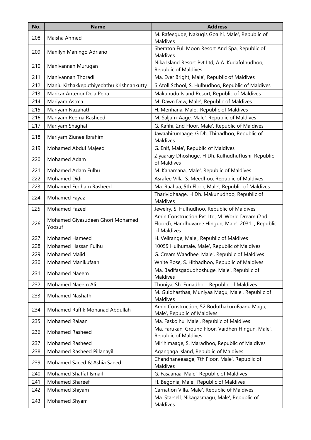| No. | <b>Name</b>                                | <b>Address</b>                                                                                                       |
|-----|--------------------------------------------|----------------------------------------------------------------------------------------------------------------------|
| 208 | Maisha Ahmed                               | M. Rafeeguge, Nakugis Goalhi, Male', Republic of<br>Maldives                                                         |
| 209 | Manilyn Maningo Adriano                    | Sheraton Full Moon Resort And Spa, Republic of<br>Maldives                                                           |
| 210 | Manivannan Murugan                         | Nika Island Resort Pvt Ltd, A A. Kudafolhudhoo,<br>Republic of Maldives                                              |
| 211 | Manivannan Thoradi                         | Ma. Ever Bright, Male', Republic of Maldives                                                                         |
| 212 | Manju Kizhakkeputhiyedathu Krishnankutty   | S Atoll School, S. Hulhudhoo, Republic of Maldives                                                                   |
| 213 | Maricar Antenor Dela Pena                  | Makunudu Island Resort, Republic of Maldives                                                                         |
| 214 | Mariyam Astma                              | M. Dawn Dew, Male', Republic of Maldives                                                                             |
| 215 | Mariyam Nazahath                           | H. Merihana, Male', Republic of Maldives                                                                             |
| 216 | Mariyam Reema Rasheed                      | M. Saljam-Aage, Male', Republic of Maldives                                                                          |
| 217 | Mariyam Shaghaf                            | G. Kafihi, 2nd Floor, Male', Republic of Maldives                                                                    |
| 218 | Mariyam Ziunee Ibrahim                     | Jawaahirumaage, G Dh. Thinadhoo, Republic of<br>Maldives                                                             |
| 219 | Mohamed Abdul Majeed                       | G. Enif, Male', Republic of Maldives                                                                                 |
| 220 | Mohamed Adam                               | Ziyaaraiy Dhoshuge, H Dh. Kulhudhuffushi, Republic<br>of Maldives                                                    |
| 221 | Mohamed Adam Fulhu                         | M. Kanamana, Male', Republic of Maldives                                                                             |
| 222 | Mohamed Didi                               | Asrafee Villa, S. Meedhoo, Republic of Maldives                                                                      |
| 223 | Mohamed Eedham Rasheed                     | Ma. Raahaa, 5th Floor, Male', Republic of Maldives                                                                   |
| 224 | Mohamed Fayaz                              | Tharividhaage, H Dh. Makunudhoo, Republic of<br>Maldives                                                             |
| 225 | Mohamed Fazeel                             | Jewelry, S. Hulhudhoo, Republic of Maldives                                                                          |
| 226 | Mohamed Giyasudeen Ghori Mohamed<br>Yoosuf | Amin Construction Pvt Ltd, M. World Dream (2nd<br>Floord), Handhuvaree Hingun, Male', 20311, Republic<br>of Maldives |
| 227 | <b>Mohamed Hameed</b>                      | H. Velirange, Male', Republic of Maldives                                                                            |
| 228 | Mohamed Hassan Fulhu                       | 10059 Hulhumale, Male', Republic of Maldives                                                                         |
| 229 | Mohamed Majid                              | G. Cream Waadhee, Male', Republic of Maldives                                                                        |
| 230 | Mohamed Manikufaan                         | White Rose, S. Hithadhoo, Republic of Maldives                                                                       |
| 231 | Mohamed Naeem                              | Ma. Badifasgadudhoshuge, Male', Republic of<br>Maldives                                                              |
| 232 | Mohamed Naeem Ali                          | Thuniya, Sh. Funadhoo, Republic of Maldives                                                                          |
| 233 | Mohamed Nashath                            | M. Guldhasthaa, Muniyaa Magu, Male', Republic of<br>Maldives                                                         |
| 234 | Mohamed Raffik Mohanad Abdullah            | Amin Construction, 52 BoduthakuruFaanu Magu,<br>Male', Republic of Maldives                                          |
| 235 | Mohamed Raiaan                             | Ma. Faskolhu, Male', Republic of Maldives                                                                            |
| 236 | Mohamed Rasheed                            | Ma. Farukan, Ground Floor, Vaidheri Hingun, Male',<br>Republic of Maldives                                           |
| 237 | Mohamed Rasheed                            | Mirihimaage, S. Maradhoo, Republic of Maldives                                                                       |
| 238 | Mohamed Rasheed Pillanayil                 | Agangaga Island, Republic of Maldives                                                                                |
| 239 | Mohamed Saeed & Ashia Saeed                | Chandhaneeaage, 7th Floor, Male', Republic of<br>Maldives                                                            |
| 240 | Mohamed Shaffaf Ismail                     | G. Fasaanaa, Male', Republic of Maldives                                                                             |
| 241 | Mohamed Shareef                            | H. Begonia, Male', Republic of Maldives                                                                              |
| 242 | Mohamed Shiyam                             | Carnation Villa, Male', Republic of Maldives                                                                         |
| 243 | Mohamed Shyam                              | Ma. Starsell, Nikagasmagu, Male', Republic of<br>Maldives                                                            |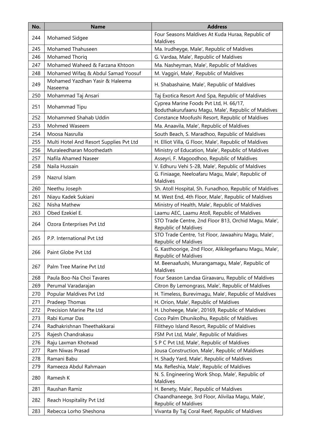| No. | <b>Name</b>                                | <b>Address</b>                                                                               |
|-----|--------------------------------------------|----------------------------------------------------------------------------------------------|
| 244 | Mohamed Sidgee                             | Four Seasons Maldives At Kuda Huraa, Republic of<br>Maldives                                 |
| 245 | Mohamed Thahuseen                          | Ma. Irudheyge, Male', Republic of Maldives                                                   |
| 246 | Mohamed Thoriq                             | G. Vardaa, Male', Republic of Maldives                                                       |
| 247 | Mohamed Waheed & Farzana Khtoon            | Ma. Nasheyman, Male', Republic of Maldives                                                   |
| 248 | Mohamed Wifaq & Abdul Samad Yoosuf         | M. Vaggiri, Male', Republic of Maldives                                                      |
| 249 | Mohamed Yazdhan Yasir & Haleema<br>Naseema | H. Shabashaine, Male', Republic of Maldives                                                  |
| 250 | Mohammad Taj Ansari                        | Taj Exotica Resort And Spa, Republic of Maldives                                             |
| 251 | Mohammad Tipu                              | Cyprea Marine Foods Pvt Ltd, H. 66/17,<br>Boduthakurufaanu Magu, Male', Republic of Maldives |
| 252 | Mohammed Shahab Uddin                      | Constance Moofushi Resort, Republic of Maldives                                              |
| 253 | Mohmed Waseem                              | Ma. Anaavila, Male', Republic of Maldives                                                    |
| 254 | Moosa Nasrulla                             | South Beach, S. Maradhoo, Republic of Maldives                                               |
| 255 | Multi Hotel And Resort Supplies Pvt Ltd    | H. Elliot Villa, G Floor, Male', Republic of Maldives                                        |
| 256 | Muraleedharan Moothedath                   | Ministry of Education, Male', Republic of Maldives                                           |
| 257 | Nafila Ahamed Naseer                       | Asseyri, F. Magoodhoo, Republic of Maldives                                                  |
| 258 | Naila Hussain                              | V. Edhuru Vehi 5-2B, Male', Republic of Maldives                                             |
| 259 | Nazrul Islam                               | G. Finiaage, Neeloafaru Magu, Male', Republic of<br>Maldives                                 |
| 260 | Neethu Joseph                              | Sh. Atoll Hospital, Sh. Funadhoo, Republic of Maldives                                       |
| 261 | Niayu Kadek Sukiani                        | M. West End, 4th Floor, Male', Republic of Maldives                                          |
| 262 | Nisha Mathew                               | Ministry of Health, Male', Republic of Maldives                                              |
| 263 | Obed Ezekiel E.                            | Laamu AEC, Laamu Atoll, Republic of Maldives                                                 |
| 264 | Ozora Enterprises Pvt Ltd                  | STO Trade Centre, 2nd Floor B13, Orchid Magu, Male',<br>Republic of Maldives                 |
| 265 | P.P. International Pvt Ltd                 | STO Trade Centre, 1st Floor, Jawaahiru Magu, Male',<br>Republic of Maldives                  |
| 266 | Paint Globe Pvt Ltd                        | G. Kasthoorige, 2nd Floor, Alikilegefaanu Magu, Male',<br>Republic of Maldives               |
| 267 | Palm Tree Marine Pvt Ltd                   | M. Beenaafushi, Murangamagu, Male', Republic of<br>Maldives                                  |
| 268 | Paula Boo-Na Choi Tavares                  | Four Season Landaa Giraavaru, Republic of Maldives                                           |
| 269 | Perumal Varadarajan                        | Citron By Lemongrass, Male', Republic of Maldives                                            |
| 270 | Popular Maldives Pvt Ltd                   | H. Timeless, Burevimagu, Male', Republic of Maldives                                         |
| 271 | Pradeep Thomas                             | H. Orion, Male', Republic of Maldives                                                        |
| 272 | Precision Marine Pte Ltd                   | H. Lhoheege, Male', 20169, Republic of Maldives                                              |
| 273 | Rabi Kumar Das                             | Coco Palm Dhunikolhu, Republic of Maldives                                                   |
| 274 | Radhakrishnan Theethakkarai                | Filitheyo Island Resort, Republic of Maldives                                                |
| 275 | Rajesh Chandrakasu                         | FSM Pvt Ltd, Male', Republic of Maldives                                                     |
| 276 | Raju Laxman Khotwad                        | S P C Pvt Ltd, Male', Republic of Maldives                                                   |
| 277 | Ram Niwas Prasad                           | Jousa Construction, Male', Republic of Maldives                                              |
| 278 | Ramani Babu                                | H. Shady Yard, Male', Republic of Maldives                                                   |
| 279 | Rameeza Abdul Rahmaan                      | Ma. Refleshia, Male', Republic of Maldives                                                   |
| 280 | Ramesh K                                   | N. S. Engineering Work Shop, Male', Republic of<br>Maldives                                  |
| 281 | Raushan Ramiz                              | H. Benety, Male', Republic of Maldives                                                       |
| 282 | Reach Hospitality Pvt Ltd                  | Chaandhaneege, 3rd Floor, Alivilaa Magu, Male',<br>Republic of Maldives                      |
| 283 | Rebecca Lorho Sheshona                     | Vivanta By Taj Coral Reef, Republic of Maldives                                              |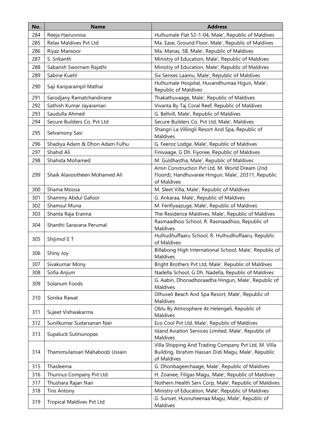| No. | <b>Name</b>                      | <b>Address</b>                                                                                                             |
|-----|----------------------------------|----------------------------------------------------------------------------------------------------------------------------|
| 284 | Reeja Hairunnisa                 | Hulhumale Flat 52-1-04, Male', Republic of Maldives                                                                        |
| 285 | Relax Maldives Pvt Ltd           | Ma. Ease, Ground Floor, Male', Republic of Maldives                                                                        |
| 286 | Riyaz Mansoor                    | Ma. Manas, 5B, Male', Republic of Maldives                                                                                 |
| 287 | S. Srikanth                      | Ministry of Education, Male', Republic of Maldives                                                                         |
| 288 | Sabarish Swornam Rajathi         | Ministry of Education, Male', Republic of Maldives                                                                         |
| 289 | Sabine Kuehl                     | Six Senses Laamu, Male', Republic of Maldives                                                                              |
| 290 | Saji Kariparampil Mathai         | Hulhumale Hospital, Huvandhumaa Higun, Male',<br>Republic of Maldives                                                      |
| 291 | Sarodjany Ramatchandirane        | Thakathuvaage, Male', Republic of Maldives                                                                                 |
| 292 | Sathish Kumar Jayaraman          | Vivanta By Taj Coral Reef, Republic of Maldives                                                                            |
| 293 | Saudulla Ahmed                   | G. Bellvill, Male', Republic of Maldives                                                                                   |
| 294 | Secure Builders Co. Pvt Ltd      | Secure Builders Co. Pvt Ltd, Male', Maldives                                                                               |
| 295 | Selvamony Sasi                   | Shangri La Villingli Resort And Spa, Republic of<br>Maldives                                                               |
| 296 | Shadiya Adam & Dhon Adam Fulhu   | G. Feeroz Lodge, Male', Republic of Maldives                                                                               |
| 297 | Shahid Ali                       | Finivaage, G Dh. Fiyoree, Republic of Maldives                                                                             |
| 298 | Shahida Mohamed                  | M. Guldhastha, Male', Republic of Maldives                                                                                 |
| 299 | Shaik Alavootheen Mohamed Ali    | Amin Construction Pvt Ltd, M. World Dream (2nd<br>Floord), Handhuvaree Hingun, Male', 20311, Republic<br>of Maldives       |
| 300 | Shama Moosa                      | M. Sleet Villa, Male', Republic of Maldives                                                                                |
| 301 | Shammy Abdul Gafoor              | G. Ankaraa, Male', Republic of Maldives                                                                                    |
| 302 | Shamsul Muna                     | M. Fenfiyaazuge, Male', Republic of Maldives                                                                               |
| 303 | Shanta Raja Eranna               | The Residence Maldives, Male', Republic of Maldives                                                                        |
| 304 | Shanthi Saravana Perumal         | Rasmaadhoo School, R. Rasmaadhoo, Republic of<br>Maldives                                                                  |
| 305 | Shijimol E T                     | Hulhudhuffaaru School, R. Hulhudhuffaaru, Republic<br>of Maldives                                                          |
| 306 | Shiny Joy                        | Billabong High International School, Male', Republic of<br>Maldives                                                        |
| 307 | Sivakumar Mony                   | Bright Brothers Pvt Ltd, Male', Republic of Maldives                                                                       |
| 308 | Sofia Anjum                      | Nadella School, G Dh. Nadella, Republic of Maldives                                                                        |
| 309 | Solanum Foods                    | G. Aabin, Dhonadhoraadha Hingun, Male', Republic of<br>Maldives                                                            |
| 310 | Sonika Rawat                     | Olhuveli Beach And Spa Resort, Male', Republic of<br>Maldives                                                              |
| 311 | Sujeet Vishwakarma               | Oblu By Atmosphere At Helengeli, Republic of<br>Maldives                                                                   |
| 312 | Sunilkumar Sudarsanan Nair       | Eco Cool Pvt Ltd, Male', Republic of Maldives                                                                              |
| 313 | Supaluck Sutinunopas             | Island Aviation Services Limited, Male', Republic of<br>Maldives                                                           |
| 314 | Thamimulansari Mahaboob Ussain   | Villa Shipping And Trading Company Pvt Ltd, M. Villa<br>Building, Ibrahim Hassan Didi Magu, Male', Republic<br>of Maldives |
| 315 | Thasleema                        | G. Dhonbageechaage, Male', Republic of Maldives                                                                            |
| 316 | Thunnus Company Pvt Ltd          | H. Zoanee, Filigas Magu, Male', Republic of Maldives                                                                       |
| 317 | Thushara Rajan Nair              | Nothern Health Serv Corp, Male', Republic of Maldives                                                                      |
| 318 | <b>Tins Antony</b>               | Ministry of Education, Male', Republic of Maldives                                                                         |
| 319 | <b>Tropical Maldives Pvt Ltd</b> | G. Sunset, Husnuheenaa Magu, Male', Republic of<br>Maldives                                                                |